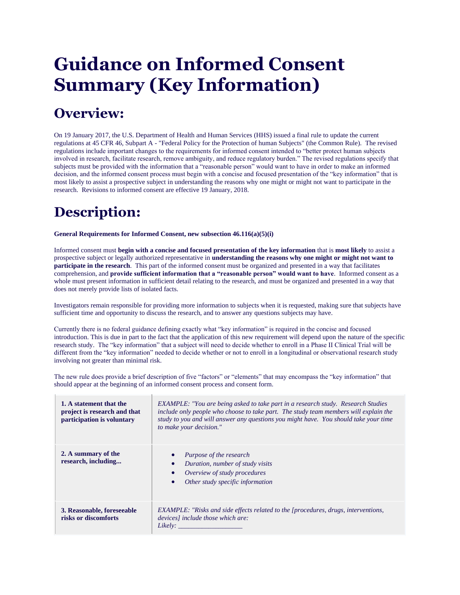## **Guidance on Informed Consent Summary (Key Information)**

## **Overview:**

On 19 January 2017, the U.S. Department of Health and Human Services (HHS) issued a final rule to update the current regulations at 45 CFR 46, Subpart A - "Federal Policy for the Protection of human Subjects" (the Common Rule). The revised regulations include important changes to the requirements for informed consent intended to "better protect human subjects involved in research, facilitate research, remove ambiguity, and reduce regulatory burden." The revised regulations specify that subjects must be provided with the information that a "reasonable person" would want to have in order to make an informed decision, and the informed consent process must begin with a concise and focused presentation of the "key information" that is most likely to assist a prospective subject in understanding the reasons why one might or might not want to participate in the research. Revisions to informed consent are effective 19 January, 2018.

## **Description:**

**General Requirements for Informed Consent, new subsection 46.116(a)(5)(i)**

Informed consent must **begin with a concise and focused presentation of the key information** that is **most likely** to assist a prospective subject or legally authorized representative in **understanding the reasons why one might or might not want to participate in the research**. This part of the informed consent must be organized and presented in a way that facilitates comprehension, and **provide sufficient information that a "reasonable person" would want to have**. Informed consent as a whole must present information in sufficient detail relating to the research, and must be organized and presented in a way that does not merely provide lists of isolated facts.

Investigators remain responsible for providing more information to subjects when it is requested, making sure that subjects have sufficient time and opportunity to discuss the research, and to answer any questions subjects may have.

Currently there is no federal guidance defining exactly what "key information" is required in the concise and focused introduction. This is due in part to the fact that the application of this new requirement will depend upon the nature of the specific research study. The "key information" that a subject will need to decide whether to enroll in a Phase II Clinical Trial will be different from the "key information" needed to decide whether or not to enroll in a longitudinal or observational research study involving not greater than minimal risk.

| 1. A statement that the<br>project is research and that<br>participation is voluntary | <b>EXAMPLE:</b> "You are being asked to take part in a research study. Research Studies<br>include only people who choose to take part. The study team members will explain the<br>study to you and will answer any questions you might have. You should take your time<br>to make your decision." |
|---------------------------------------------------------------------------------------|----------------------------------------------------------------------------------------------------------------------------------------------------------------------------------------------------------------------------------------------------------------------------------------------------|
| 2. A summary of the<br>research, including                                            | Purpose of the research<br>$\bullet$<br>Duration, number of study visits<br>$\bullet$<br>Overview of study procedures<br>$\bullet$<br>Other study specific information<br>$\bullet$                                                                                                                |
| 3. Reasonable, foreseeable<br>risks or discomforts                                    | <b>EXAMPLE:</b> "Risks and side effects related to the [procedures, drugs, interventions,<br>devices] include those which are:<br>Likely:                                                                                                                                                          |

The new rule does provide a brief description of five "factors" or "elements" that may encompass the "key information" that should appear at the beginning of an informed consent process and consent form.